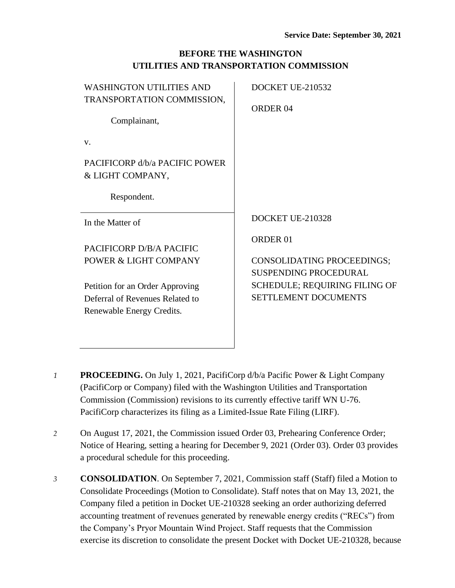## **BEFORE THE WASHINGTON UTILITIES AND TRANSPORTATION COMMISSION**

| <b>WASHINGTON UTILITIES AND</b><br>TRANSPORTATION COMMISSION,<br>Complainant,                   | DOCKET UE-210532<br>ORDER <sub>04</sub>                                                             |
|-------------------------------------------------------------------------------------------------|-----------------------------------------------------------------------------------------------------|
| V.                                                                                              |                                                                                                     |
| PACIFICORP d/b/a PACIFIC POWER<br>& LIGHT COMPANY,                                              |                                                                                                     |
| Respondent.                                                                                     |                                                                                                     |
| In the Matter of                                                                                | DOCKET UE-210328                                                                                    |
| PACIFICORP D/B/A PACIFIC<br>POWER & LIGHT COMPANY                                               | ORDER <sub>01</sub><br><b>CONSOLIDATING PROCEEDINGS;</b>                                            |
| Petition for an Order Approving<br>Deferral of Revenues Related to<br>Renewable Energy Credits. | <b>SUSPENDING PROCEDURAL</b><br><b>SCHEDULE; REQUIRING FILING OF</b><br><b>SETTLEMENT DOCUMENTS</b> |

- *1* **PROCEEDING.** On July 1, 2021, PacifiCorp d/b/a Pacific Power & Light Company (PacifiCorp or Company) filed with the Washington Utilities and Transportation Commission (Commission) revisions to its currently effective tariff WN U-76. PacifiCorp characterizes its filing as a Limited-Issue Rate Filing (LIRF).
- *2* On August 17, 2021, the Commission issued Order 03, Prehearing Conference Order; Notice of Hearing, setting a hearing for December 9, 2021 (Order 03). Order 03 provides a procedural schedule for this proceeding.
- *3* **CONSOLIDATION**. On September 7, 2021, Commission staff (Staff) filed a Motion to Consolidate Proceedings (Motion to Consolidate). Staff notes that on May 13, 2021, the Company filed a petition in Docket UE-210328 seeking an order authorizing deferred accounting treatment of revenues generated by renewable energy credits ("RECs") from the Company's Pryor Mountain Wind Project. Staff requests that the Commission exercise its discretion to consolidate the present Docket with Docket UE-210328, because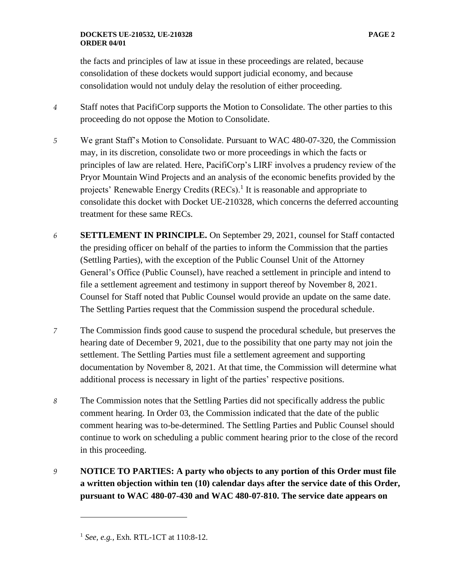## **DOCKETS UE-210532, UE-210328 PAGE 2 ORDER 04/01**

the facts and principles of law at issue in these proceedings are related, because consolidation of these dockets would support judicial economy, and because consolidation would not unduly delay the resolution of either proceeding.

- *4* Staff notes that PacifiCorp supports the Motion to Consolidate. The other parties to this proceeding do not oppose the Motion to Consolidate.
- *5* We grant Staff's Motion to Consolidate. Pursuant to WAC 480-07-320, the Commission may, in its discretion, consolidate two or more proceedings in which the facts or principles of law are related. Here, PacifiCorp's LIRF involves a prudency review of the Pryor Mountain Wind Projects and an analysis of the economic benefits provided by the projects' Renewable Energy Credits (RECs).<sup>1</sup> It is reasonable and appropriate to consolidate this docket with Docket UE-210328, which concerns the deferred accounting treatment for these same RECs.
- *6* **SETTLEMENT IN PRINCIPLE.** On September 29, 2021, counsel for Staff contacted the presiding officer on behalf of the parties to inform the Commission that the parties (Settling Parties), with the exception of the Public Counsel Unit of the Attorney General's Office (Public Counsel), have reached a settlement in principle and intend to file a settlement agreement and testimony in support thereof by November 8, 2021. Counsel for Staff noted that Public Counsel would provide an update on the same date. The Settling Parties request that the Commission suspend the procedural schedule.
- *7* The Commission finds good cause to suspend the procedural schedule, but preserves the hearing date of December 9, 2021, due to the possibility that one party may not join the settlement. The Settling Parties must file a settlement agreement and supporting documentation by November 8, 2021. At that time, the Commission will determine what additional process is necessary in light of the parties' respective positions.
- *8* The Commission notes that the Settling Parties did not specifically address the public comment hearing. In Order 03, the Commission indicated that the date of the public comment hearing was to-be-determined. The Settling Parties and Public Counsel should continue to work on scheduling a public comment hearing prior to the close of the record in this proceeding.
- *9* **NOTICE TO PARTIES: A party who objects to any portion of this Order must file a written objection within ten (10) calendar days after the service date of this Order, pursuant to WAC 480-07-430 and WAC 480-07-810. The service date appears on**

<sup>1</sup> *See, e.g.*, Exh. RTL-1CT at 110:8-12.